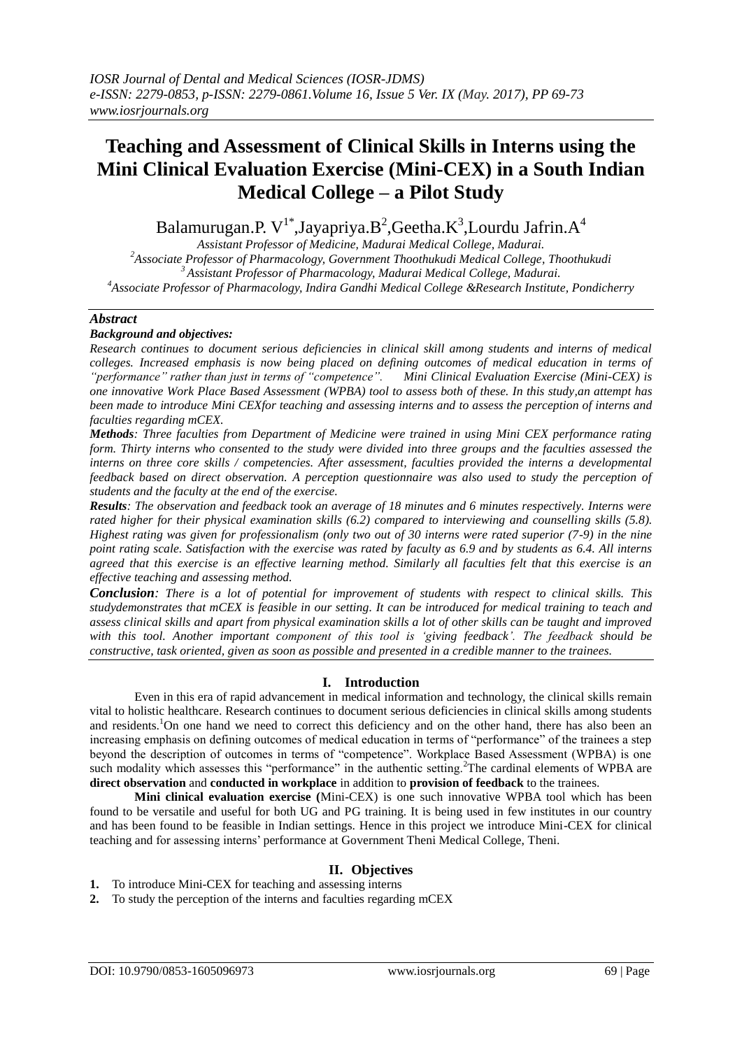# **Teaching and Assessment of Clinical Skills in Interns using the Mini Clinical Evaluation Exercise (Mini-CEX) in a South Indian Medical College – a Pilot Study**

Balamurugan.P. V<sup>1\*</sup>,Jayapriya.B<sup>2</sup>,Geetha.K<sup>3</sup>,Lourdu Jafrin.A<sup>4</sup>

*Assistant Professor of Medicine, Madurai Medical College, Madurai. Associate Professor of Pharmacology, Government Thoothukudi Medical College, Thoothukudi Assistant Professor of Pharmacology, Madurai Medical College, Madurai. Associate Professor of Pharmacology, Indira Gandhi Medical College &Research Institute, Pondicherry*

## *Abstract*

## *Background and objectives:*

*Research continues to document serious deficiencies in clinical skill among students and interns of medical colleges. Increased emphasis is now being placed on defining outcomes of medical education in terms of "performance" rather than just in terms of "competence". Mini Clinical Evaluation Exercise (Mini-CEX) is one innovative Work Place Based Assessment (WPBA) tool to assess both of these. In this study,an attempt has been made to introduce Mini CEXfor teaching and assessing interns and to assess the perception of interns and faculties regarding mCEX.*

*Methods: Three faculties from Department of Medicine were trained in using Mini CEX performance rating form. Thirty interns who consented to the study were divided into three groups and the faculties assessed the interns on three core skills / competencies. After assessment, faculties provided the interns a developmental feedback based on direct observation. A perception questionnaire was also used to study the perception of students and the faculty at the end of the exercise.*

*Results: The observation and feedback took an average of 18 minutes and 6 minutes respectively. Interns were rated higher for their physical examination skills (6.2) compared to interviewing and counselling skills (5.8). Highest rating was given for professionalism (only two out of 30 interns were rated superior (7-9) in the nine point rating scale. Satisfaction with the exercise was rated by faculty as 6.9 and by students as 6.4. All interns agreed that this exercise is an effective learning method. Similarly all faculties felt that this exercise is an effective teaching and assessing method.* 

*Conclusion: There is a lot of potential for improvement of students with respect to clinical skills. This studydemonstrates that mCEX is feasible in our setting. It can be introduced for medical training to teach and assess clinical skills and apart from physical examination skills a lot of other skills can be taught and improved with this tool. Another important component of this tool is "giving feedback". The feedback should be constructive, task oriented, given as soon as possible and presented in a credible manner to the trainees.* 

## **I. Introduction**

Even in this era of rapid advancement in medical information and technology, the clinical skills remain vital to holistic healthcare. Research continues to document serious deficiencies in clinical skills among students and residents.<sup>1</sup>On one hand we need to correct this deficiency and on the other hand, there has also been an increasing emphasis on defining outcomes of medical education in terms of "performance" of the trainees a step beyond the description of outcomes in terms of "competence". Workplace Based Assessment (WPBA) is one such modality which assesses this "performance" in the authentic setting.<sup>2</sup>The cardinal elements of WPBA are **direct observation** and **conducted in workplace** in addition to **provision of feedback** to the trainees.

**Mini clinical evaluation exercise (**Mini-CEX) is one such innovative WPBA tool which has been found to be versatile and useful for both UG and PG training. It is being used in few institutes in our country and has been found to be feasible in Indian settings. Hence in this project we introduce Mini-CEX for clinical teaching and for assessing interns' performance at Government Theni Medical College, Theni.

# **II. Objectives**

**1.** To introduce Mini-CEX for teaching and assessing interns

**2.** To study the perception of the interns and faculties regarding mCEX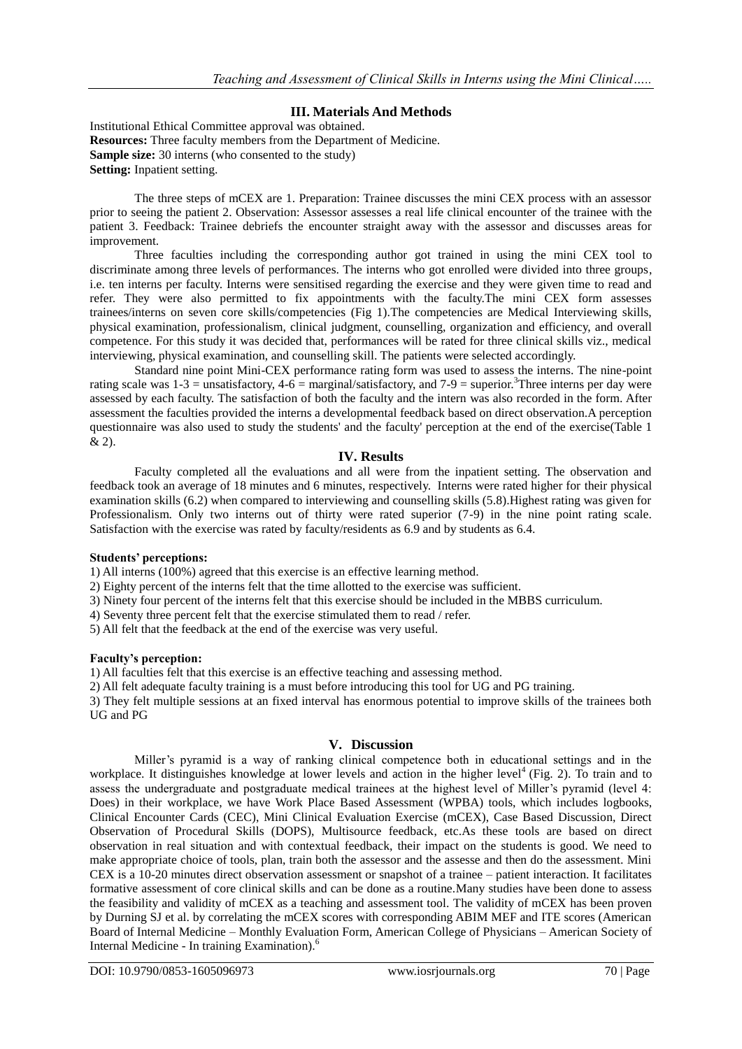## **III. Materials And Methods**

Institutional Ethical Committee approval was obtained. **Resources:** Three faculty members from the Department of Medicine. **Sample size:** 30 interns (who consented to the study) **Setting:** Inpatient setting.

The three steps of mCEX are 1. Preparation: Trainee discusses the mini CEX process with an assessor prior to seeing the patient 2. Observation: Assessor assesses a real life clinical encounter of the trainee with the patient 3. Feedback: Trainee debriefs the encounter straight away with the assessor and discusses areas for improvement.

Three faculties including the corresponding author got trained in using the mini CEX tool to discriminate among three levels of performances. The interns who got enrolled were divided into three groups, i.e. ten interns per faculty. Interns were sensitised regarding the exercise and they were given time to read and refer. They were also permitted to fix appointments with the faculty.The mini CEX form assesses trainees/interns on seven core skills/competencies (Fig 1).The competencies are Medical Interviewing skills, physical examination, professionalism, clinical judgment, counselling, organization and efficiency, and overall competence. For this study it was decided that, performances will be rated for three clinical skills viz., medical interviewing, physical examination, and counselling skill. The patients were selected accordingly.

Standard nine point Mini-CEX performance rating form was used to assess the interns. The nine-point rating scale was  $1-3 =$  unsatisfactory,  $4-6 =$  marginal/satisfactory, and  $7-9 =$  superior.<sup>3</sup>Three interns per day were assessed by each faculty. The satisfaction of both the faculty and the intern was also recorded in the form. After assessment the faculties provided the interns a developmental feedback based on direct observation.A perception questionnaire was also used to study the students' and the faculty' perception at the end of the exercise(Table 1 & 2).

## **IV. Results**

Faculty completed all the evaluations and all were from the inpatient setting. The observation and feedback took an average of 18 minutes and 6 minutes, respectively. Interns were rated higher for their physical examination skills (6.2) when compared to interviewing and counselling skills (5.8).Highest rating was given for Professionalism. Only two interns out of thirty were rated superior (7-9) in the nine point rating scale. Satisfaction with the exercise was rated by faculty/residents as 6.9 and by students as 6.4.

### **Students' perceptions:**

1) All interns (100%) agreed that this exercise is an effective learning method.

- 2) Eighty percent of the interns felt that the time allotted to the exercise was sufficient.
- 3) Ninety four percent of the interns felt that this exercise should be included in the MBBS curriculum.
- 4) Seventy three percent felt that the exercise stimulated them to read / refer.

5) All felt that the feedback at the end of the exercise was very useful.

### **Faculty's perception:**

1) All faculties felt that this exercise is an effective teaching and assessing method.

2) All felt adequate faculty training is a must before introducing this tool for UG and PG training.

3) They felt multiple sessions at an fixed interval has enormous potential to improve skills of the trainees both UG and PG

# **V. Discussion**

Miller's pyramid is a way of ranking clinical competence both in educational settings and in the workplace. It distinguishes knowledge at lower levels and action in the higher level<sup>4</sup> (Fig. 2). To train and to assess the undergraduate and postgraduate medical trainees at the highest level of Miller's pyramid (level 4: Does) in their workplace, we have Work Place Based Assessment (WPBA) tools, which includes logbooks, Clinical Encounter Cards (CEC), Mini Clinical Evaluation Exercise (mCEX), Case Based Discussion, Direct Observation of Procedural Skills (DOPS), Multisource feedback, etc.As these tools are based on direct observation in real situation and with contextual feedback, their impact on the students is good. We need to make appropriate choice of tools, plan, train both the assessor and the assesse and then do the assessment. Mini CEX is a 10-20 minutes direct observation assessment or snapshot of a trainee – patient interaction. It facilitates formative assessment of core clinical skills and can be done as a routine.Many studies have been done to assess the feasibility and validity of mCEX as a teaching and assessment tool. The validity of mCEX has been proven by Durning SJ et al. by correlating the mCEX scores with corresponding ABIM MEF and ITE scores (American Board of Internal Medicine – Monthly Evaluation Form, American College of Physicians – American Society of Internal Medicine - In training Examination).<sup>6</sup>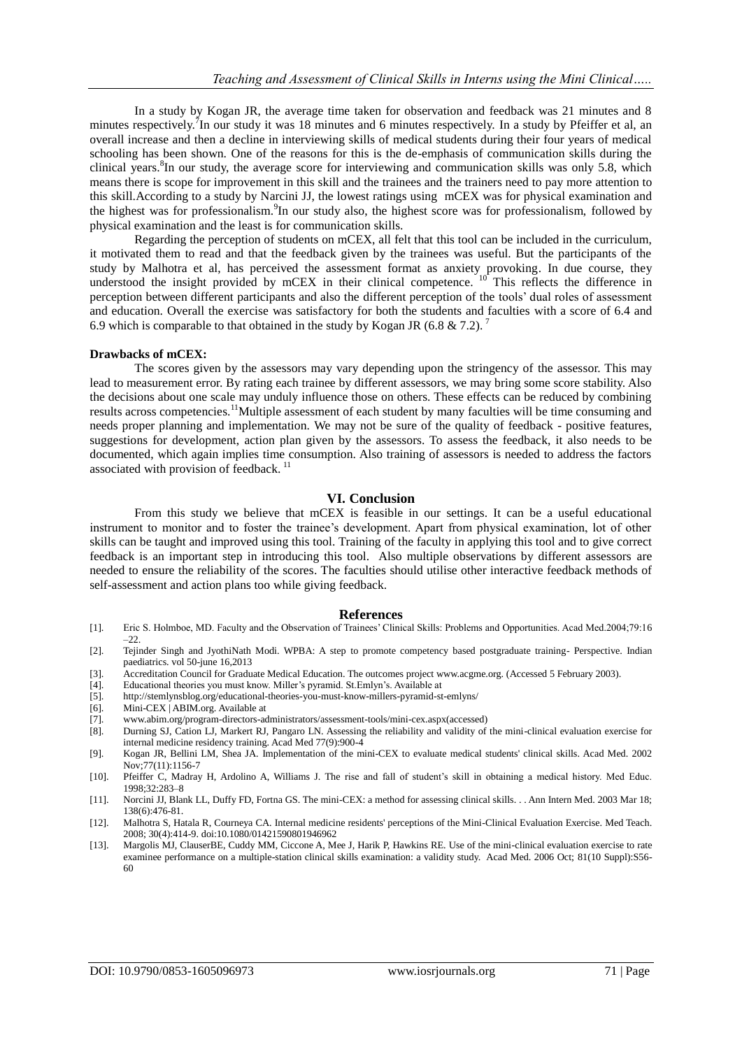In a study by Kogan JR, the average time taken for observation and feedback was 21 minutes and 8 minutes respectively.<sup>7</sup>In our study it was 18 minutes and 6 minutes respectively. In a study by Pfeiffer et al, an overall increase and then a decline in interviewing skills of medical students during their four years of medical schooling has been shown. One of the reasons for this is the de-emphasis of communication skills during the clinical years.<sup>8</sup>In our study, the average score for interviewing and communication skills was only 5.8, which means there is scope for improvement in this skill and the trainees and the trainers need to pay more attention to this skill.According to a study by Narcini JJ, the lowest ratings using mCEX was for physical examination and the highest was for professionalism.<sup>9</sup>In our study also, the highest score was for professionalism, followed by physical examination and the least is for communication skills.

Regarding the perception of students on mCEX, all felt that this tool can be included in the curriculum, it motivated them to read and that the feedback given by the trainees was useful. But the participants of the study by Malhotra et al, has perceived the assessment format as anxiety provoking. In due course, they understood the insight provided by mCEX in their clinical competence.  $10^{\circ}$  This reflects the difference in perception between different participants and also the different perception of the tools' dual roles of assessment and education. Overall the exercise was satisfactory for both the students and faculties with a score of 6.4 and 6.9 which is comparable to that obtained in the study by Kogan JR (6.8 & 7.2).<sup>7</sup>

#### **Drawbacks of mCEX:**

The scores given by the assessors may vary depending upon the stringency of the assessor. This may lead to measurement error. By rating each trainee by different assessors, we may bring some score stability. Also the decisions about one scale may unduly influence those on others. These effects can be reduced by combining results across competencies.<sup>11</sup>Multiple assessment of each student by many faculties will be time consuming and needs proper planning and implementation. We may not be sure of the quality of feedback - positive features, suggestions for development, action plan given by the assessors. To assess the feedback, it also needs to be documented, which again implies time consumption. Also training of assessors is needed to address the factors associated with provision of feedback.<sup>11</sup>

#### **VI. Conclusion**

From this study we believe that mCEX is feasible in our settings. It can be a useful educational instrument to monitor and to foster the trainee's development. Apart from physical examination, lot of other skills can be taught and improved using this tool. Training of the faculty in applying this tool and to give correct feedback is an important step in introducing this tool. Also multiple observations by different assessors are needed to ensure the reliability of the scores. The faculties should utilise other interactive feedback methods of self-assessment and action plans too while giving feedback.

#### **References**

- [1]. Eric S. Holmboe, MD. Faculty and the Observation of Trainees' Clinical Skills: Problems and Opportunities. Acad Med.2004;79:16 –22.
- [2]. Tejinder Singh and JyothiNath Modi. WPBA: A step to promote competency based postgraduate training- Perspective. Indian paediatrics. vol 50-june 16,2013
- [3]. Accreditation Council for Graduate Medical Education. The outcomes project www.acgme.org. (Accessed 5 February 2003).
- [4]. Educational theories you must know. Miller's pyramid. St.Emlyn's. Available at
- http://stemlynsblog.org/educational-theories-you-must-know-millers-pyramid-st-emlyns/
- [6]. Mini-CEX | ABIM.org. Available at
- [7]. [www.abim.org/program-directors-administrators/assessment-tools/mini-cex.aspx\(](http://www.abim.org/program-directors-administrators/assessment-tools/mini-cex.aspx)accessed)
- [8]. Durning SJ, Cation LJ, Markert RJ, Pangaro LN. Assessing the reliability and validity of the mini-clinical evaluation exercise for internal medicine residency training. Acad Med 77(9):900-4
- [9]. Kogan JR, Bellini LM, Shea JA. Implementation of the mini-CEX to evaluate medical students' clinical skills. Acad Med. 2002 Nov;77(11):1156-7
- [10]. Pfeiffer C, Madray H, Ardolino A, Williams J. The rise and fall of student's skill in obtaining a medical history. Med Educ. 1998;32:283–8
- [11]. Norcini JJ, Blank LL, Duffy FD, Fortna GS. The mini-CEX: a method for assessing clinical skills. . . Ann Intern Med. 2003 Mar 18; 138(6):476-81.
- [12]. Malhotra S, Hatala R, Courneya CA. Internal medicine residents' perceptions of the Mini-Clinical Evaluation Exercise. Med Teach. 2008; 30(4):414-9. doi:10.1080/01421590801946962
- [13]. Margolis MJ, ClauserBE, Cuddy MM, Ciccone A, Mee J, Harik P, Hawkins RE. Use of the mini-clinical evaluation exercise to rate examinee performance on a multiple-station clinical skills examination: a validity study. Acad Med. 2006 Oct; 81(10 Suppl):S56- 60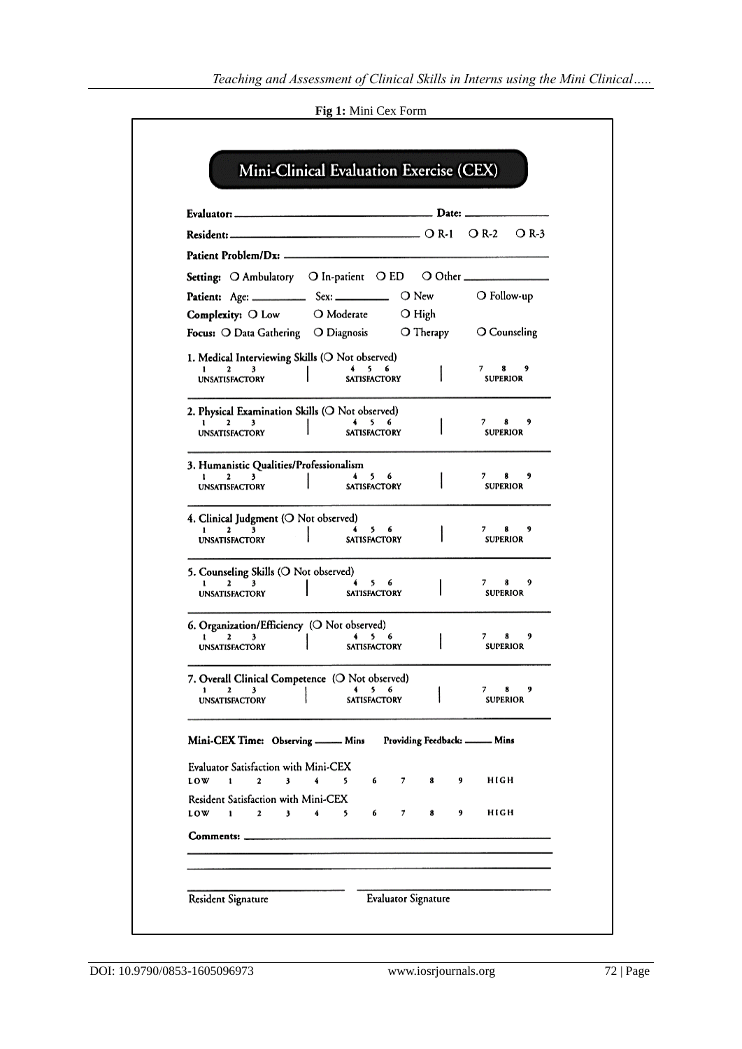|  |  | Fig 1: Mini Cex Form |
|--|--|----------------------|
|  |  |                      |

|                                                                                                              |                                | O R-3<br>O R-2                  |
|--------------------------------------------------------------------------------------------------------------|--------------------------------|---------------------------------|
|                                                                                                              |                                |                                 |
| Setting: O Ambulatory O In-patient O ED O Other ________________                                             |                                |                                 |
|                                                                                                              |                                | O Follow-up                     |
| Complexity: O Low O Moderate                                                                                 | $\bigcirc$ High                |                                 |
| Focus: O Data Gathering O Diagnosis                                                                          | O Therapy                      | O Counseling                    |
| 1. Medical Interviewing Skills (O Not observed)<br>5.<br>6<br>2<br><b>SATISFACTORY</b>                       |                                | 7<br>8<br>9<br><b>SUPERIOR</b>  |
| <b>UNSATISFACTORY</b>                                                                                        |                                |                                 |
| 2. Physical Examination Skills (O Not observed)                                                              |                                |                                 |
| 2<br>5.<br>6<br><b>UNSATISFACTORY</b><br><b>SATISFACTORY</b>                                                 |                                | 8<br>7.<br>9<br><b>SUPERIOR</b> |
| 3. Humanistic Qualities/Professionalism                                                                      |                                |                                 |
| 3<br>5.<br>6<br>2<br>SATISFACTORY<br><b>UNSATISFACTORY</b>                                                   |                                | 9<br>7.<br>8<br><b>SUPERIOR</b> |
| 4. Clinical Judgment (O Not observed)                                                                        |                                |                                 |
| $\mathbf{z}$<br>3<br>5.<br>1.<br><b>SATISFACTORY</b><br><b>UNSATISFACTORY</b>                                |                                | 7.<br>9<br><b>SUPERIOR</b>      |
| 5. Counseling Skills (O Not observed)<br>56<br>2<br>3                                                        |                                | 9<br>8<br>7                     |
| <b>UNSATISFACTORY</b><br><b>SATISFACTORY</b>                                                                 |                                | <b>SUPERIOR</b>                 |
| 6. Organization/Efficiency (O Not observed)                                                                  |                                |                                 |
| 5 6<br>2<br>3<br><b>SATISFACTORY</b><br><b>UNSATISFACTORY</b>                                                |                                | 9<br><b>SUPERIOR</b>            |
| 7. Overall Clinical Competence (O Not observed)<br>2<br>3<br>ı<br>5<br>6                                     |                                | 7<br>8<br>9                     |
| <b>SATISFACTORY</b><br><b>UNSATISFACTORY</b>                                                                 |                                | <b>SUPERIOR</b>                 |
| Mini-CEX Time: Observing _____ Mins                                                                          | Providing Feedback: _____ Mins |                                 |
| <b>Evaluator Satisfaction with Mini-CEX</b><br>5<br>LOW<br>1<br>$\mathbf{2}$<br>3<br>4<br>6                  | 7<br>8<br>9                    | HIGH                            |
| <b>Resident Satisfaction with Mini-CEX</b><br><b>LOW</b><br>$\overline{\mathbf{3}}$<br>4<br>6<br>1<br>2<br>5 | 7<br>8<br>9                    | HIGH                            |
|                                                                                                              |                                |                                 |